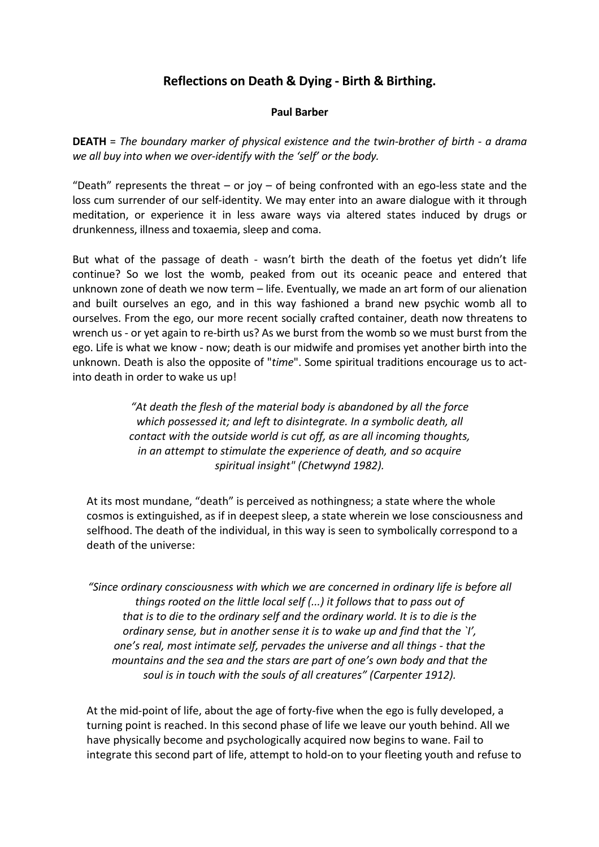# **Reflections on Death & Dying - Birth & Birthing.**

#### **Paul Barber**

**DEATH** = *The boundary marker of physical existence and the twin-brother of birth - a drama we all buy into when we over-identify with the 'self' or the body.* 

"Death" represents the threat – or joy – of being confronted with an ego-less state and the loss cum surrender of our self-identity. We may enter into an aware dialogue with it through meditation, or experience it in less aware ways via altered states induced by drugs or drunkenness, illness and toxaemia, sleep and coma.

But what of the passage of death - wasn't birth the death of the foetus yet didn't life continue? So we lost the womb, peaked from out its oceanic peace and entered that unknown zone of death we now term – life. Eventually, we made an art form of our alienation and built ourselves an ego, and in this way fashioned a brand new psychic womb all to ourselves. From the ego, our more recent socially crafted container, death now threatens to wrench us - or yet again to re-birth us? As we burst from the womb so we must burst from the ego. Life is what we know - now; death is our midwife and promises yet another birth into the unknown. Death is also the opposite of "*time*". Some spiritual traditions encourage us to actinto death in order to wake us up!

> *"At death the flesh of the material body is abandoned by all the force which possessed it; and left to disintegrate. In a symbolic death, all contact with the outside world is cut off, as are all incoming thoughts, in an attempt to stimulate the experience of death, and so acquire spiritual insight" (Chetwynd 1982).*

At its most mundane, "death" is perceived as nothingness; a state where the whole cosmos is extinguished, as if in deepest sleep, a state wherein we lose consciousness and selfhood. The death of the individual, in this way is seen to symbolically correspond to a death of the universe:

*"Since ordinary consciousness with which we are concerned in ordinary life is before all things rooted on the little local self (...) it follows that to pass out of that is to die to the ordinary self and the ordinary world. It is to die is the ordinary sense, but in another sense it is to wake up and find that the `I', one's real, most intimate self, pervades the universe and all things - that the mountains and the sea and the stars are part of one's own body and that the soul is in touch with the souls of all creatures" (Carpenter 1912).* 

At the mid-point of life, about the age of forty-five when the ego is fully developed, a turning point is reached. In this second phase of life we leave our youth behind. All we have physically become and psychologically acquired now begins to wane. Fail to integrate this second part of life, attempt to hold-on to your fleeting youth and refuse to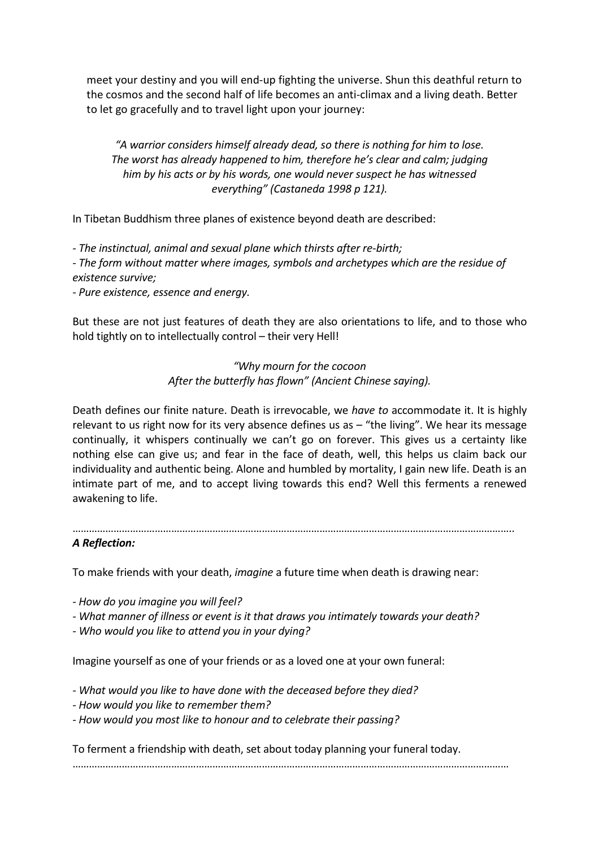meet your destiny and you will end-up fighting the universe. Shun this deathful return to the cosmos and the second half of life becomes an anti-climax and a living death. Better to let go gracefully and to travel light upon your journey:

*"A warrior considers himself already dead, so there is nothing for him to lose. The worst has already happened to him, therefore he's clear and calm; judging him by his acts or by his words, one would never suspect he has witnessed everything" (Castaneda 1998 p 121).* 

In Tibetan Buddhism three planes of existence beyond death are described:

*- The instinctual, animal and sexual plane which thirsts after re-birth; - The form without matter where images, symbols and archetypes which are the residue of existence survive;* 

*- Pure existence, essence and energy.* 

But these are not just features of death they are also orientations to life, and to those who hold tightly on to intellectually control – their very Hell!

## *"Why mourn for the cocoon After the butterfly has flown" (Ancient Chinese saying).*

Death defines our finite nature. Death is irrevocable, we *have to* accommodate it. It is highly relevant to us right now for its very absence defines us as  $-$  "the living". We hear its message continually, it whispers continually we can't go on forever. This gives us a certainty like nothing else can give us; and fear in the face of death, well, this helps us claim back our individuality and authentic being. Alone and humbled by mortality, I gain new life. Death is an intimate part of me, and to accept living towards this end? Well this ferments a renewed awakening to life.

| <b>A Reflection:</b> |  |  |
|----------------------|--|--|

To make friends with your death, *imagine* a future time when death is drawing near:

*- How do you imagine you will feel?* 

- *What manner of illness or event is it that draws you intimately towards your death?*
- *Who would you like to attend you in your dying?*

Imagine yourself as one of your friends or as a loved one at your own funeral:

- *What would you like to have done with the deceased before they died?*
- *How would you like to remember them?*
- *How would you most like to honour and to celebrate their passing?*

To ferment a friendship with death, set about today planning your funeral today.

……………………………………………………………………………………………………………………………………………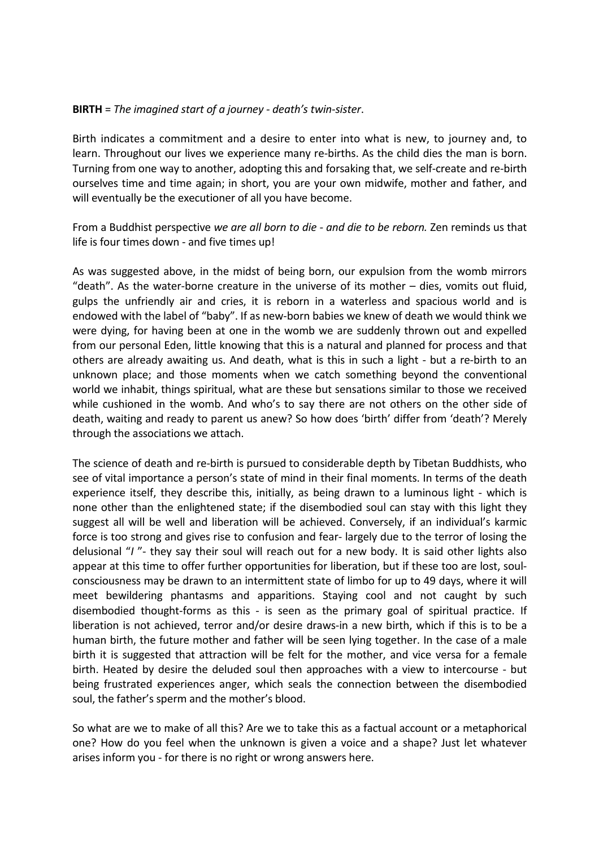### **BIRTH** = *The imagined start of a journey - death's twin-sister*.

Birth indicates a commitment and a desire to enter into what is new, to journey and, to learn. Throughout our lives we experience many re-births. As the child dies the man is born. Turning from one way to another, adopting this and forsaking that, we self-create and re-birth ourselves time and time again; in short, you are your own midwife, mother and father, and will eventually be the executioner of all you have become.

From a Buddhist perspective *we are all born to die - and die to be reborn.* Zen reminds us that life is four times down - and five times up!

As was suggested above, in the midst of being born, our expulsion from the womb mirrors "death". As the water-borne creature in the universe of its mother – dies, vomits out fluid, gulps the unfriendly air and cries, it is reborn in a waterless and spacious world and is endowed with the label of "baby". If as new-born babies we knew of death we would think we were dying, for having been at one in the womb we are suddenly thrown out and expelled from our personal Eden, little knowing that this is a natural and planned for process and that others are already awaiting us. And death, what is this in such a light - but a re-birth to an unknown place; and those moments when we catch something beyond the conventional world we inhabit, things spiritual, what are these but sensations similar to those we received while cushioned in the womb. And who's to say there are not others on the other side of death, waiting and ready to parent us anew? So how does 'birth' differ from 'death'? Merely through the associations we attach.

The science of death and re-birth is pursued to considerable depth by Tibetan Buddhists, who see of vital importance a person's state of mind in their final moments. In terms of the death experience itself, they describe this, initially, as being drawn to a luminous light - which is none other than the enlightened state; if the disembodied soul can stay with this light they suggest all will be well and liberation will be achieved. Conversely, if an individual's karmic force is too strong and gives rise to confusion and fear- largely due to the terror of losing the delusional "*I* "- they say their soul will reach out for a new body. It is said other lights also appear at this time to offer further opportunities for liberation, but if these too are lost, soulconsciousness may be drawn to an intermittent state of limbo for up to 49 days, where it will meet bewildering phantasms and apparitions. Staying cool and not caught by such disembodied thought-forms as this - is seen as the primary goal of spiritual practice. If liberation is not achieved, terror and/or desire draws-in a new birth, which if this is to be a human birth, the future mother and father will be seen lying together. In the case of a male birth it is suggested that attraction will be felt for the mother, and vice versa for a female birth. Heated by desire the deluded soul then approaches with a view to intercourse - but being frustrated experiences anger, which seals the connection between the disembodied soul, the father's sperm and the mother's blood.

So what are we to make of all this? Are we to take this as a factual account or a metaphorical one? How do you feel when the unknown is given a voice and a shape? Just let whatever arises inform you - for there is no right or wrong answers here.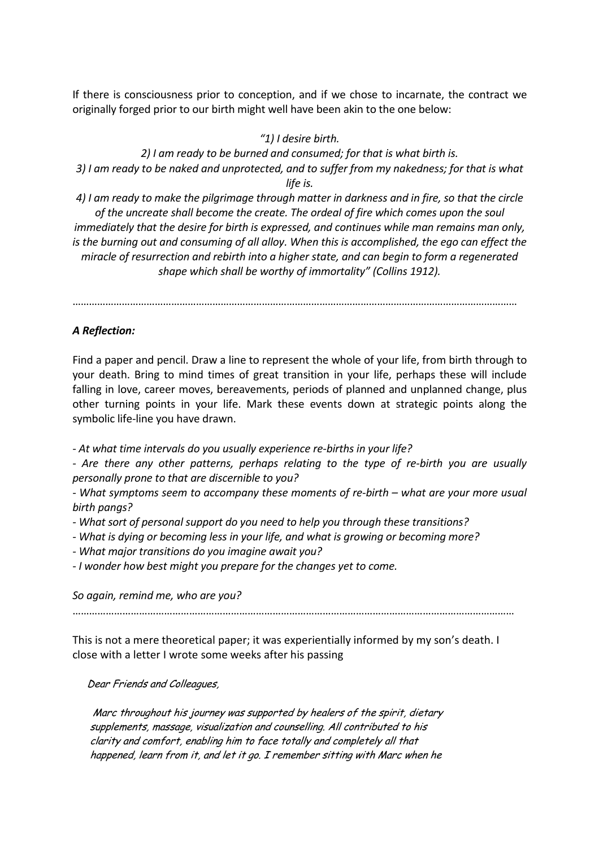If there is consciousness prior to conception, and if we chose to incarnate, the contract we originally forged prior to our birth might well have been akin to the one below:

#### *"1) I desire birth.*

*2) I am ready to be burned and consumed; for that is what birth is. 3) I am ready to be naked and unprotected, and to suffer from my nakedness; for that is what life is.* 

*4) I am ready to make the pilgrimage through matter in darkness and in fire, so that the circle of the uncreate shall become the create. The ordeal of fire which comes upon the soul immediately that the desire for birth is expressed, and continues while man remains man only,* 

*is the burning out and consuming of all alloy. When this is accomplished, the ego can effect the miracle of resurrection and rebirth into a higher state, and can begin to form a regenerated shape which shall be worthy of immortality" (Collins 1912).* 

………………………………………………………………………………………………………………………………………………

#### *A Reflection:*

Find a paper and pencil. Draw a line to represent the whole of your life, from birth through to your death. Bring to mind times of great transition in your life, perhaps these will include falling in love, career moves, bereavements, periods of planned and unplanned change, plus other turning points in your life. Mark these events down at strategic points along the symbolic life-line you have drawn.

*- At what time intervals do you usually experience re-births in your life?* 

*- Are there any other patterns, perhaps relating to the type of re-birth you are usually personally prone to that are discernible to you?* 

*- What symptoms seem to accompany these moments of re-birth – what are your more usual birth pangs?* 

- *What sort of personal support do you need to help you through these transitions?*
- *What is dying or becoming less in your life, and what is growing or becoming more?*
- *What major transitions do you imagine await you?*

*- I wonder how best might you prepare for the changes yet to come.* 

*So again, remind me, who are you?* 

……………………………………………………………………………………………………………………………………………

This is not a mere theoretical paper; it was experientially informed by my son's death. I close with a letter I wrote some weeks after his passing

Dear Friends and Colleagues,

Marc throughout his journey was supported by healers of the spirit, dietary supplements, massage, visualization and counselling. All contributed to his clarity and comfort, enabling him to face totally and completely all that happened, learn from it, and let it go. I remember sitting with Marc when he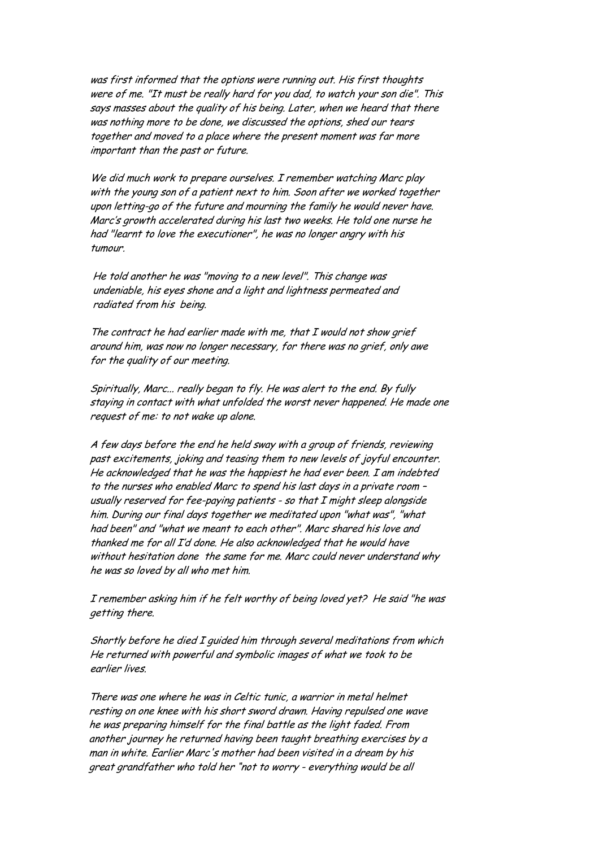was first informed that the options were running out. His first thoughts were of me. "It must be really hard for you dad, to watch your son die". This says masses about the quality of his being. Later, when we heard that there was nothing more to be done, we discussed the options, shed our tears together and moved to a place where the present moment was far more important than the past or future.

We did much work to prepare ourselves. I remember watching Marc play with the young son of a patient next to him. Soon after we worked together upon letting-go of the future and mourning the family he would never have. Marc's growth accelerated during his last two weeks. He told one nurse he had "learnt to love the executioner", he was no longer angry with his tumour.

 He told another he was "moving to a new level". This change was undeniable, his eyes shone and a light and lightness permeated and radiated from his being.

 The contract he had earlier made with me, that I would not show grief around him, was now no longer necessary, for there was no grief, only awe for the quality of our meeting.

 Spiritually, Marc... really began to fly. He was alert to the end. By fully staying in contact with what unfolded the worst never happened. He made one request of me: to not wake up alone.

 A few days before the end he held sway with a group of friends, reviewing past excitements, joking and teasing them to new levels of joyful encounter. He acknowledged that he was the happiest he had ever been. I am indebted to the nurses who enabled Marc to spend his last days in a private room – usually reserved for fee-paying patients - so that I might sleep alongside him. During our final days together we meditated upon "what was", "what had been" and "what we meant to each other". Marc shared his love and thanked me for all I'd done. He also acknowledged that he would have without hesitation done the same for me. Marc could never understand why he was so loved by all who met him.

 I remember asking him if he felt worthy of being loved yet? He said "he was getting there.

 Shortly before he died I guided him through several meditations from which He returned with powerful and symbolic images of what we took to be earlier lives.

 There was one where he was in Celtic tunic, a warrior in metal helmet resting on one knee with his short sword drawn. Having repulsed one wave he was preparing himself for the final battle as the light faded. From another journey he returned having been taught breathing exercises by a man in white. Earlier Marc's mother had been visited in a dream by his great grandfather who told her "not to worry - everything would be all